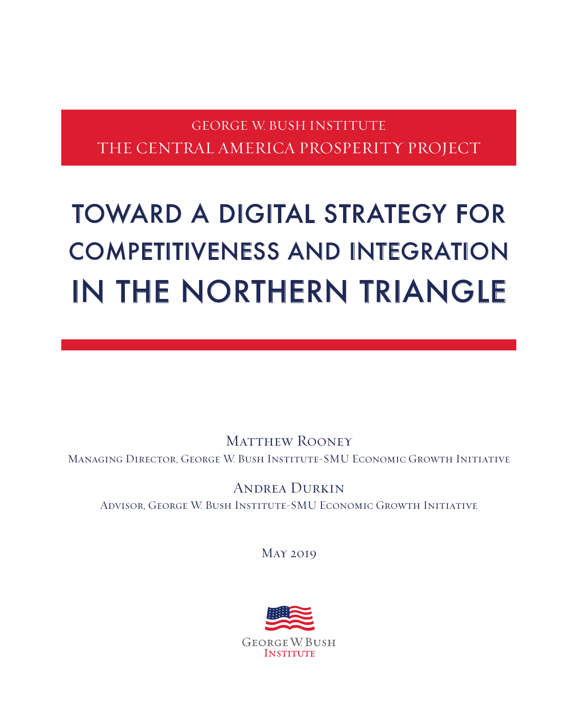# GEORGE W. BUSH INSTITUTE THE CENTRAL AMERICA PROSPERITY PROJECT

# TOWARD A DIGITAL STRATEGY FOR COMPETITIVENESS AND INTEGRATION IN THE NORTHERN TRIANGLE

MATTHEW ROONEY Managing Director, George W. Bush Institute-SMU Economic Growth Initiative

Andrea Durkin Advisor, George W. Bush Institute-SMU Economic Growth Initiative

May 2019

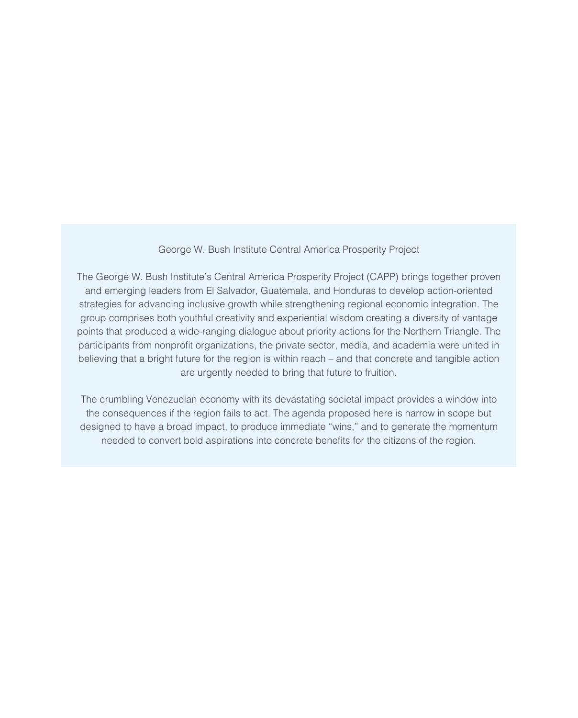#### George W. Bush Institute Central America Prosperity Project

The George W. Bush Institute's Central America Prosperity Project (CAPP) brings together proven and emerging leaders from El Salvador, Guatemala, and Honduras to develop action-oriented strategies for advancing inclusive growth while strengthening regional economic integration. The group comprises both youthful creativity and experiential wisdom creating a diversity of vantage points that produced a wide-ranging dialogue about priority actions for the Northern Triangle. The participants from nonproft organizations, the private sector, media, and academia were united in believing that a bright future for the region is within reach – and that concrete and tangible action are urgently needed to bring that future to fruition.

The crumbling Venezuelan economy with its devastating societal impact provides a window into the consequences if the region fails to act. The agenda proposed here is narrow in scope but designed to have a broad impact, to produce immediate "wins," and to generate the momentum needed to convert bold aspirations into concrete benefts for the citizens of the region.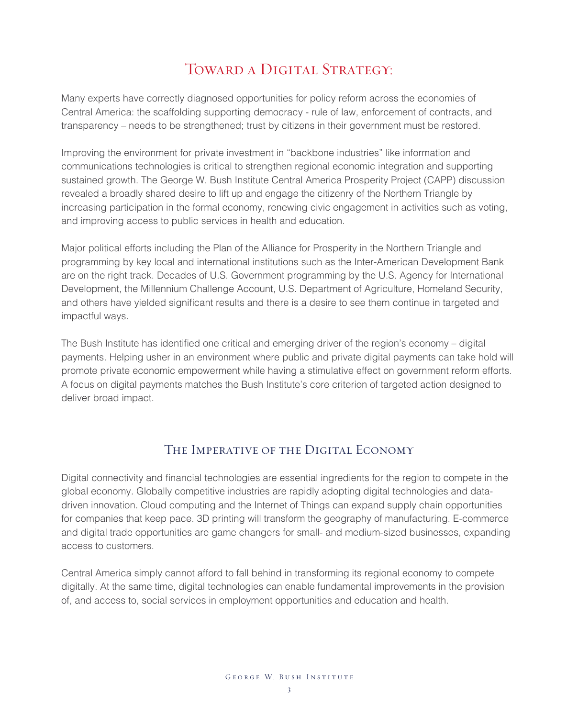## TOWARD A DIGITAL STRATEGY:

Many experts have correctly diagnosed opportunities for policy reform across the economies of Central America: the scaffolding supporting democracy - rule of law, enforcement of contracts, and transparency – needs to be strengthened; trust by citizens in their government must be restored.

Improving the environment for private investment in "backbone industries" like information and communications technologies is critical to strengthen regional economic integration and supporting sustained growth. The George W. Bush Institute Central America Prosperity Project (CAPP) discussion revealed a broadly shared desire to lift up and engage the citizenry of the Northern Triangle by increasing participation in the formal economy, renewing civic engagement in activities such as voting, and improving access to public services in health and education.

Major political efforts including the Plan of the Alliance for Prosperity in the Northern Triangle and programming by key local and international institutions such as the Inter-American Development Bank are on the right track. Decades of U.S. Government programming by the U.S. Agency for International Development, the Millennium Challenge Account, U.S. Department of Agriculture, Homeland Security, and others have yielded signifcant results and there is a desire to see them continue in targeted and impactful ways.

The Bush Institute has identifed one critical and emerging driver of the region's economy – digital payments. Helping usher in an environment where public and private digital payments can take hold will promote private economic empowerment while having a stimulative effect on government reform efforts. A focus on digital payments matches the Bush Institute's core criterion of targeted action designed to deliver broad impact.

## The Imperative of the Digital Economy

Digital connectivity and fnancial technologies are essential ingredients for the region to compete in the global economy. Globally competitive industries are rapidly adopting digital technologies and datadriven innovation. Cloud computing and the Internet of Things can expand supply chain opportunities for companies that keep pace. 3D printing will transform the geography of manufacturing. E-commerce and digital trade opportunities are game changers for small- and medium-sized businesses, expanding access to customers.

Central America simply cannot afford to fall behind in transforming its regional economy to compete digitally. At the same time, digital technologies can enable fundamental improvements in the provision of, and access to, social services in employment opportunities and education and health.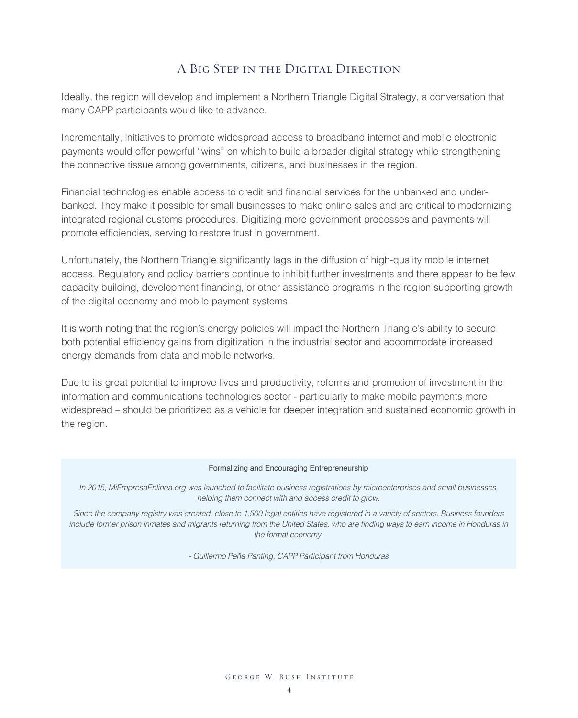## A Big Step in the Digital Direction

Ideally, the region will develop and implement a Northern Triangle Digital Strategy, a conversation that many CAPP participants would like to advance.

Incrementally, initiatives to promote widespread access to broadband internet and mobile electronic payments would offer powerful "wins" on which to build a broader digital strategy while strengthening the connective tissue among governments, citizens, and businesses in the region.

Financial technologies enable access to credit and fnancial services for the unbanked and underbanked. They make it possible for small businesses to make online sales and are critical to modernizing integrated regional customs procedures. Digitizing more government processes and payments will promote efficiencies, serving to restore trust in government.

Unfortunately, the Northern Triangle signifcantly lags in the diffusion of high-quality mobile internet access. Regulatory and policy barriers continue to inhibit further investments and there appear to be few capacity building, development fnancing, or other assistance programs in the region supporting growth of the digital economy and mobile payment systems.

It is worth noting that the region's energy policies will impact the Northern Triangle's ability to secure both potential efficiency gains from digitization in the industrial sector and accommodate increased energy demands from data and mobile networks.

Due to its great potential to improve lives and productivity, reforms and promotion of investment in the information and communications technologies sector - particularly to make mobile payments more widespread – should be prioritized as a vehicle for deeper integration and sustained economic growth in the region.

#### Formalizing and Encouraging Entrepreneurship

In 2015, MiEmpresaEnlinea.org was launched to facilitate business registrations by microenterprises and small businesses, helping them connect with and access credit to grow.

Since the company registry was created, close to 1,500 legal entities have registered in a variety of sectors. Business founders include former prison inmates and migrants returning from the United States, who are fnding ways to earn income in Honduras in the formal economy.

- Guillermo Peña Panting, CAPP Participant from Honduras

GEORGE W. BUSH INSTITUTE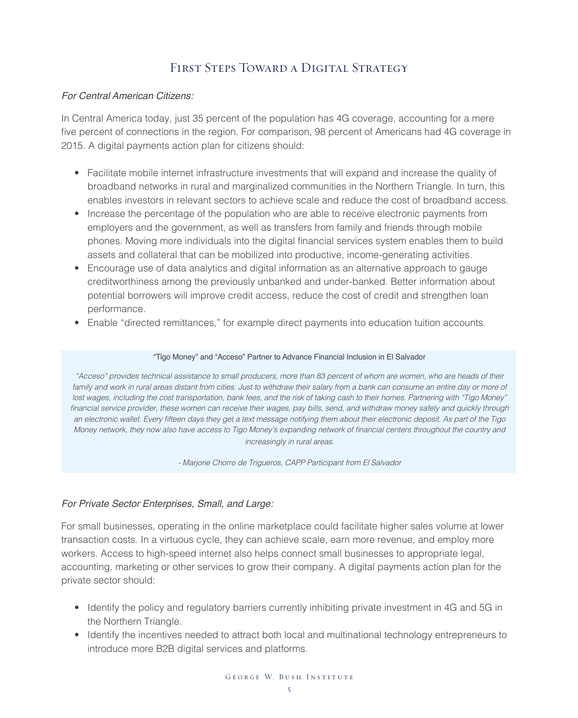## FIRST STEPS TOWARD A DIGITAL STRATEGY

#### *For Central American Citizens:*

In Central America today, just 35 percent of the population has 4G coverage, accounting for a mere five percent of connections in the region. For comparison, 98 percent of Americans had 4G coverage in 2015. A digital payments action plan for citizens should:

- Facilitate mobile internet infrastructure investments that will expand and increase the quality of broadband networks in rural and marginalized communities in the Northern Triangle. In turn, this enables investors in relevant sectors to achieve scale and reduce the cost of broadband access.
- Increase the percentage of the population who are able to receive electronic payments from employers and the government, as well as transfers from family and friends through mobile phones. Moving more individuals into the digital financial services system enables them to build assets and collateral that can be mobilized into productive, income-generating activities.
- Encourage use of data analytics and digital information as an alternative approach to gauge creditworthiness among the previously unbanked and under-banked. Better information about potential borrowers will improve credit access, reduce the cost of credit and strengthen loan performance.
- Enable "directed remittances," for example direct payments into education tuition accounts.

#### "Tigo Money" and "Acceso" Partner to Advance Financial Inclusion in El Salvador

"Acceso" provides technical assistance to small producers, more than 83 percent of whom are women, who are heads of their family and work in rural areas distant from cities. Just to withdraw their salary from a bank can consume an entire day or more of lost wages, including the cost transportation, bank fees, and the risk of taking cash to their homes. Partnering with "Tigo Money" financial service provider, these women can receive their wages, pay bills, send, and withdraw money safely and quickly through an electronic wallet. Every ffteen days they get a text message notifying them about their electronic deposit. As part of the Tigo Money network, they now also have access to Tigo Money's expanding network of fnancial centers throughout the country and increasingly in rural areas.

- Marjorie Chorro de Trigueros, CAPP Participant from El Salvador

#### *For Private Sector Enterprises, Small, and Large:*

For small businesses, operating in the online marketplace could facilitate higher sales volume at lower transaction costs. In a virtuous cycle, they can achieve scale, earn more revenue, and employ more workers. Access to high-speed internet also helps connect small businesses to appropriate legal, accounting, marketing or other services to grow their company. A digital payments action plan for the private sector should:

- Identify the policy and regulatory barriers currently inhibiting private investment in 4G and 5G in the Northern Triangle.
- Identify the incentives needed to attract both local and multinational technology entrepreneurs to introduce more B2B digital services and platforms.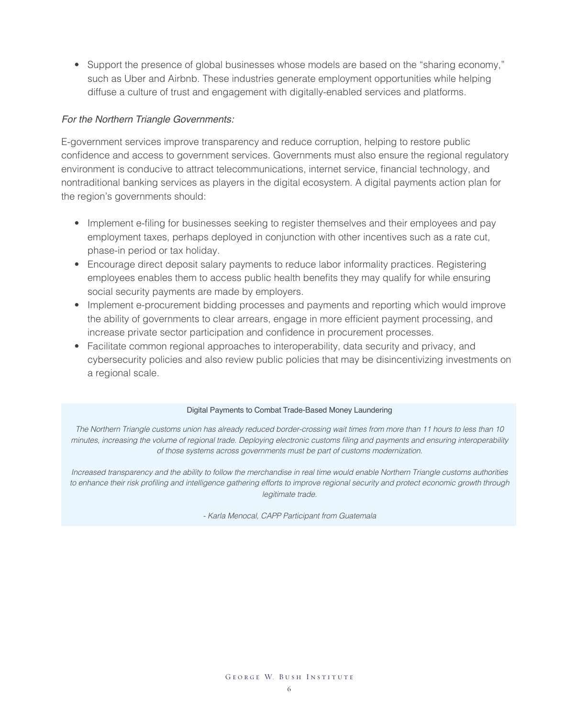• Support the presence of global businesses whose models are based on the "sharing economy," such as Uber and Airbnb. These industries generate employment opportunities while helping diffuse a culture of trust and engagement with digitally-enabled services and platforms.

#### *For the Northern Triangle Governments:*

E-government services improve transparency and reduce corruption, helping to restore public confdence and access to government services. Governments must also ensure the regional regulatory environment is conducive to attract telecommunications, internet service, fnancial technology, and nontraditional banking services as players in the digital ecosystem. A digital payments action plan for the region's governments should:

- Implement e-fling for businesses seeking to register themselves and their employees and pay employment taxes, perhaps deployed in conjunction with other incentives such as a rate cut, phase-in period or tax holiday.
- Encourage direct deposit salary payments to reduce labor informality practices. Registering employees enables them to access public health benefts they may qualify for while ensuring social security payments are made by employers.
- Implement e-procurement bidding processes and payments and reporting which would improve the ability of governments to clear arrears, engage in more efficient payment processing, and increase private sector participation and confdence in procurement processes.
- Facilitate common regional approaches to interoperability, data security and privacy, and cybersecurity policies and also review public policies that may be disincentivizing investments on a regional scale.

#### Digital Payments to Combat Trade-Based Money Laundering

The Northern Triangle customs union has already reduced border-crossing wait times from more than 11 hours to less than 10 minutes, increasing the volume of regional trade. Deploying electronic customs fling and payments and ensuring interoperability of those systems across governments must be part of customs modernization.

Increased transparency and the ability to follow the merchandise in real time would enable Northern Triangle customs authorities to enhance their risk profling and intelligence gathering efforts to improve regional security and protect economic growth through legitimate trade.

- Karla Menocal, CAPP Participant from Guatemala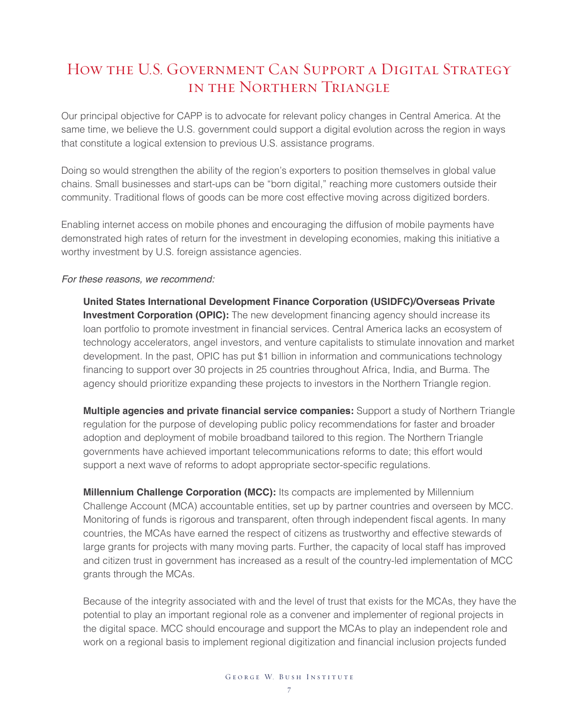## How the U.S. Government Can Support a Digital Strategy in the Northern Triangle

Our principal objective for CAPP is to advocate for relevant policy changes in Central America. At the same time, we believe the U.S. government could support a digital evolution across the region in ways that constitute a logical extension to previous U.S. assistance programs.

Doing so would strengthen the ability of the region's exporters to position themselves in global value chains. Small businesses and start-ups can be "born digital," reaching more customers outside their community. Traditional flows of goods can be more cost effective moving across digitized borders.

Enabling internet access on mobile phones and encouraging the diffusion of mobile payments have demonstrated high rates of return for the investment in developing economies, making this initiative a worthy investment by U.S. foreign assistance agencies.

#### *For these reasons, we recommend:*

**United States International Development Finance Corporation (USIDFC)/Overseas Private Investment Corporation (OPIC):** The new development financing agency should increase its loan portfolio to promote investment in fnancial services. Central America lacks an ecosystem of technology accelerators, angel investors, and venture capitalists to stimulate innovation and market development. In the past, OPIC has put \$1 billion in information and communications technology financing to support over 30 projects in 25 countries throughout Africa, India, and Burma. The agency should prioritize expanding these projects to investors in the Northern Triangle region.

**Multiple agencies and private fnancial service companies:** Support a study of Northern Triangle regulation for the purpose of developing public policy recommendations for faster and broader adoption and deployment of mobile broadband tailored to this region. The Northern Triangle governments have achieved important telecommunications reforms to date; this effort would support a next wave of reforms to adopt appropriate sector-specific regulations.

**Millennium Challenge Corporation (MCC):** Its compacts are implemented by Millennium Challenge Account (MCA) accountable entities, set up by partner countries and overseen by MCC. Monitoring of funds is rigorous and transparent, often through independent fscal agents. In many countries, the MCAs have earned the respect of citizens as trustworthy and effective stewards of large grants for projects with many moving parts. Further, the capacity of local staff has improved and citizen trust in government has increased as a result of the country-led implementation of MCC grants through the MCAs.

Because of the integrity associated with and the level of trust that exists for the MCAs, they have the potential to play an important regional role as a convener and implementer of regional projects in the digital space. MCC should encourage and support the MCAs to play an independent role and work on a regional basis to implement regional digitization and fnancial inclusion projects funded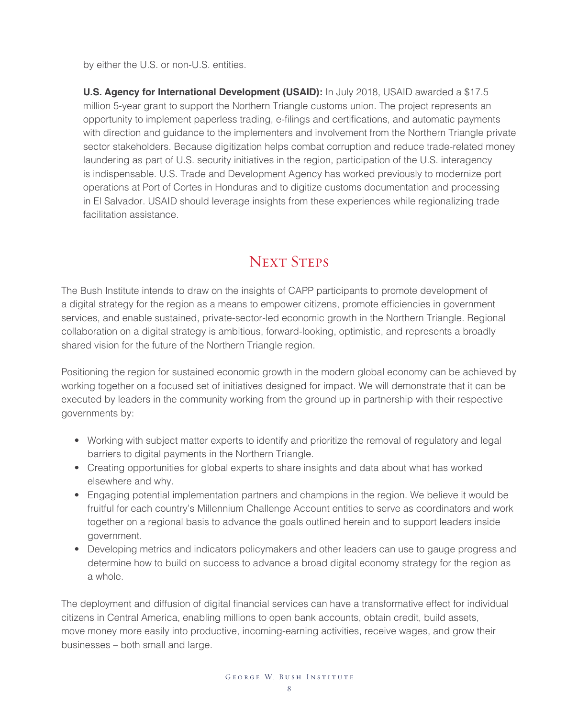by either the U.S. or non-U.S. entities.

**U.S. Agency for International Development (USAID):** In July 2018, USAID awarded a \$17.5 million 5-year grant to support the Northern Triangle customs union. The project represents an opportunity to implement paperless trading, e-flings and certifcations, and automatic payments with direction and guidance to the implementers and involvement from the Northern Triangle private sector stakeholders. Because digitization helps combat corruption and reduce trade-related money laundering as part of U.S. security initiatives in the region, participation of the U.S. interagency is indispensable. U.S. Trade and Development Agency has worked previously to modernize port operations at Port of Cortes in Honduras and to digitize customs documentation and processing in El Salvador. USAID should leverage insights from these experiences while regionalizing trade facilitation assistance.

## NEXT STEPS

The Bush Institute intends to draw on the insights of CAPP participants to promote development of a digital strategy for the region as a means to empower citizens, promote effciencies in government services, and enable sustained, private-sector-led economic growth in the Northern Triangle. Regional collaboration on a digital strategy is ambitious, forward-looking, optimistic, and represents a broadly shared vision for the future of the Northern Triangle region.

Positioning the region for sustained economic growth in the modern global economy can be achieved by working together on a focused set of initiatives designed for impact. We will demonstrate that it can be executed by leaders in the community working from the ground up in partnership with their respective governments by:

- Working with subject matter experts to identify and prioritize the removal of regulatory and legal barriers to digital payments in the Northern Triangle.
- Creating opportunities for global experts to share insights and data about what has worked elsewhere and why.
- Engaging potential implementation partners and champions in the region. We believe it would be fruitful for each country's Millennium Challenge Account entities to serve as coordinators and work together on a regional basis to advance the goals outlined herein and to support leaders inside government.
- Developing metrics and indicators policymakers and other leaders can use to gauge progress and determine how to build on success to advance a broad digital economy strategy for the region as a whole.

The deployment and diffusion of digital financial services can have a transformative effect for individual citizens in Central America, enabling millions to open bank accounts, obtain credit, build assets, move money more easily into productive, incoming-earning activities, receive wages, and grow their businesses – both small and large.